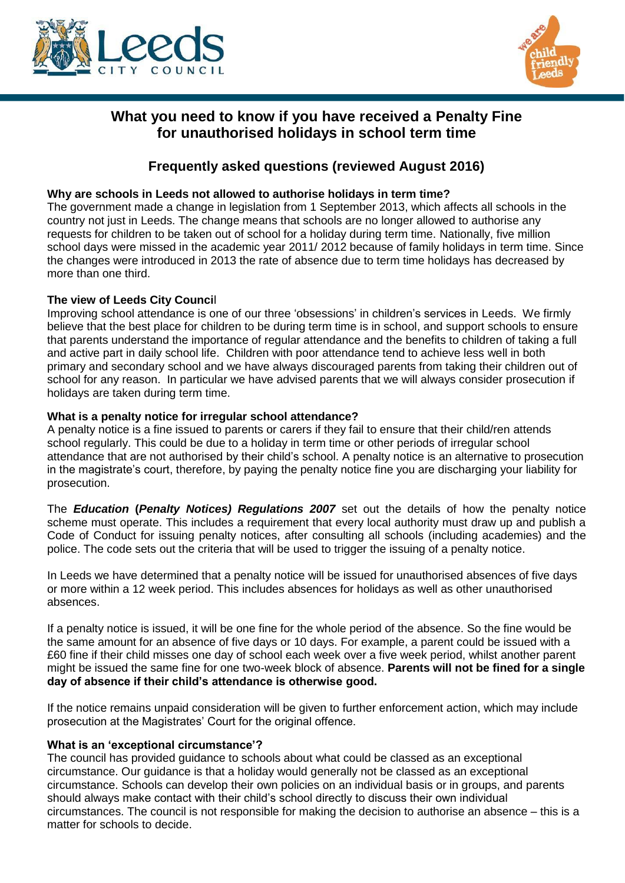



# **What you need to know if you have received a Penalty Fine for unauthorised holidays in school term time**

# **Frequently asked questions (reviewed August 2016)**

## **Why are schools in Leeds not allowed to authorise holidays in term time?**

The government made a change in legislation from 1 September 2013, which affects all schools in the country not just in Leeds. The change means that schools are no longer allowed to authorise any requests for children to be taken out of school for a holiday during term time. Nationally, five million school days were missed in the academic year 2011/ 2012 because of family holidays in term time. Since the changes were introduced in 2013 the rate of absence due to term time holidays has decreased by more than one third.

## **The view of Leeds City Counci**l

Improving school attendance is one of our three 'obsessions' in children's services in Leeds. We firmly believe that the best place for children to be during term time is in school, and support schools to ensure that parents understand the importance of regular attendance and the benefits to children of taking a full and active part in daily school life. Children with poor attendance tend to achieve less well in both primary and secondary school and we have always discouraged parents from taking their children out of school for any reason. In particular we have advised parents that we will always consider prosecution if holidays are taken during term time.

## **What is a penalty notice for irregular school attendance?**

A penalty notice is a fine issued to parents or carers if they fail to ensure that their child/ren attends school regularly. This could be due to a holiday in term time or other periods of irregular school attendance that are not authorised by their child's school. A penalty notice is an alternative to prosecution in the magistrate's court, therefore, by paying the penalty notice fine you are discharging your liability for prosecution.

The *Education* **(***Penalty Notices) Regulations 2007* set out the details of how the penalty notice scheme must operate. This includes a requirement that every local authority must draw up and publish a Code of Conduct for issuing penalty notices, after consulting all schools (including academies) and the police. The code sets out the criteria that will be used to trigger the issuing of a penalty notice.

In Leeds we have determined that a penalty notice will be issued for unauthorised absences of five days or more within a 12 week period. This includes absences for holidays as well as other unauthorised absences.

If a penalty notice is issued, it will be one fine for the whole period of the absence. So the fine would be the same amount for an absence of five days or 10 days. For example, a parent could be issued with a £60 fine if their child misses one day of school each week over a five week period, whilst another parent might be issued the same fine for one two-week block of absence. **Parents will not be fined for a single day of absence if their child's attendance is otherwise good.** 

If the notice remains unpaid consideration will be given to further enforcement action, which may include prosecution at the Magistrates' Court for the original offence.

## **What is an 'exceptional circumstance'?**

The council has provided guidance to schools about what could be classed as an exceptional circumstance. Our guidance is that a holiday would generally not be classed as an exceptional circumstance. Schools can develop their own policies on an individual basis or in groups, and parents should always make contact with their child's school directly to discuss their own individual circumstances. The council is not responsible for making the decision to authorise an absence – this is a matter for schools to decide.